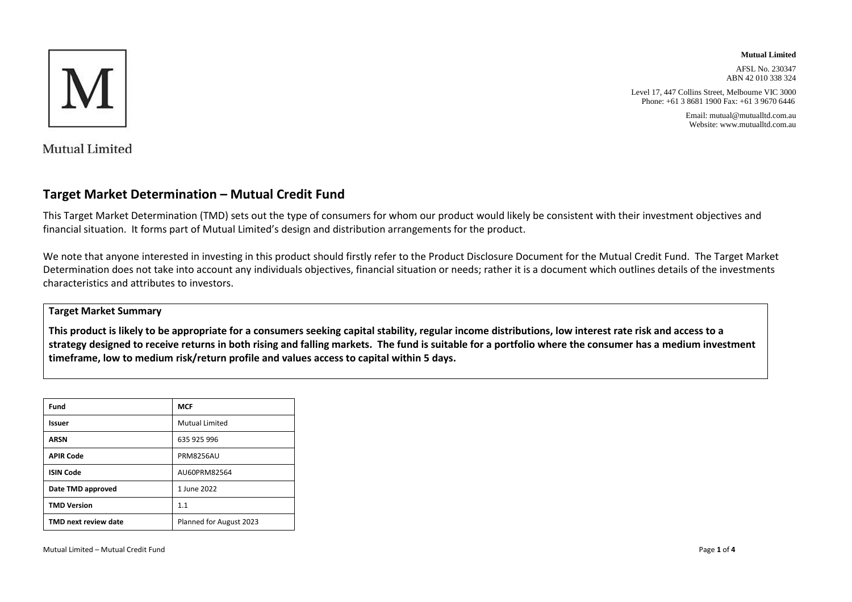

**Mutual Limited**

AFSL No. 230347 ABN 42 010 338 324

Level 17, 447 Collins Street, Melbourne VIC 3000 Phone: +61 3 8681 1900 Fax: +61 3 9670 6446

> Email: mutual@mutualltd.com.au Website: www.mutualltd.com.au

Mutual Limited

### **Target Market Determination – Mutual Credit Fund**

This Target Market Determination (TMD) sets out the type of consumers for whom our product would likely be consistent with their investment objectives and financial situation. It forms part of Mutual Limited's design and distribution arrangements for the product.

We note that anyone interested in investing in this product should firstly refer to the Product Disclosure Document for the Mutual Credit Fund. The Target Market Determination does not take into account any individuals objectives, financial situation or needs; rather it is a document which outlines details of the investments characteristics and attributes to investors.

### **Target Market Summary**

**This product is likely to be appropriate for a consumers seeking capital stability, regular income distributions, low interest rate risk and access to a strategy designed to receive returns in both rising and falling markets. The fund is suitable for a portfolio where the consumer has a medium investment timeframe, low to medium risk/return profile and values access to capital within 5 days.**

| Fund                        | <b>MCF</b>              |
|-----------------------------|-------------------------|
| Issuer                      | <b>Mutual Limited</b>   |
| <b>ARSN</b>                 | 635 925 996             |
| <b>APIR Code</b>            | <b>PRM8256AU</b>        |
| <b>ISIN Code</b>            | AU60PRM82564            |
| Date TMD approved           | 1 June 2022             |
| <b>TMD Version</b>          | 1.1                     |
| <b>TMD next review date</b> | Planned for August 2023 |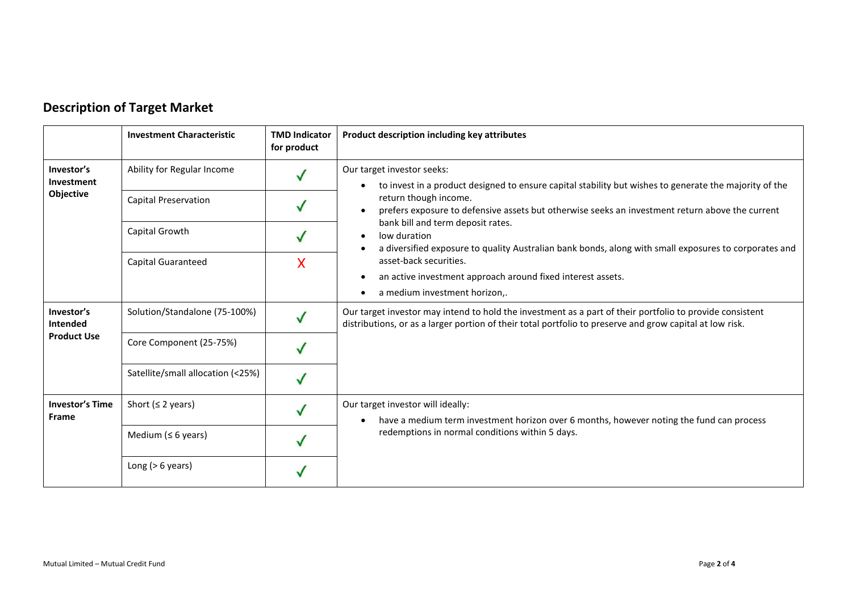|                                              | <b>Investment Characteristic</b>  | <b>TMD Indicator</b><br>for product | Product description including key attributes                                                                                                                                                                         |
|----------------------------------------------|-----------------------------------|-------------------------------------|----------------------------------------------------------------------------------------------------------------------------------------------------------------------------------------------------------------------|
| Investor's<br>Investment<br>Objective        | Ability for Regular Income        |                                     | Our target investor seeks:<br>to invest in a product designed to ensure capital stability but wishes to generate the majority of the<br>$\bullet$                                                                    |
|                                              | <b>Capital Preservation</b>       |                                     | return though income.<br>prefers exposure to defensive assets but otherwise seeks an investment return above the current<br>$\bullet$                                                                                |
|                                              | Capital Growth                    |                                     | bank bill and term deposit rates.<br>low duration<br>$\bullet$<br>a diversified exposure to quality Australian bank bonds, along with small exposures to corporates and                                              |
|                                              | <b>Capital Guaranteed</b>         | X                                   | asset-back securities.                                                                                                                                                                                               |
|                                              |                                   |                                     | an active investment approach around fixed interest assets.<br>$\bullet$<br>a medium investment horizon,.<br>٠                                                                                                       |
| Investor's<br>Intended<br><b>Product Use</b> | Solution/Standalone (75-100%)     |                                     | Our target investor may intend to hold the investment as a part of their portfolio to provide consistent<br>distributions, or as a larger portion of their total portfolio to preserve and grow capital at low risk. |
|                                              | Core Component (25-75%)           |                                     |                                                                                                                                                                                                                      |
|                                              | Satellite/small allocation (<25%) |                                     |                                                                                                                                                                                                                      |
| <b>Investor's Time</b><br><b>Frame</b>       | Short ( $\leq$ 2 years)           |                                     | Our target investor will ideally:<br>have a medium term investment horizon over 6 months, however noting the fund can process<br>$\bullet$                                                                           |
|                                              | Medium ( $\leq 6$ years)          |                                     | redemptions in normal conditions within 5 days.                                                                                                                                                                      |
|                                              | Long $(> 6$ years)                |                                     |                                                                                                                                                                                                                      |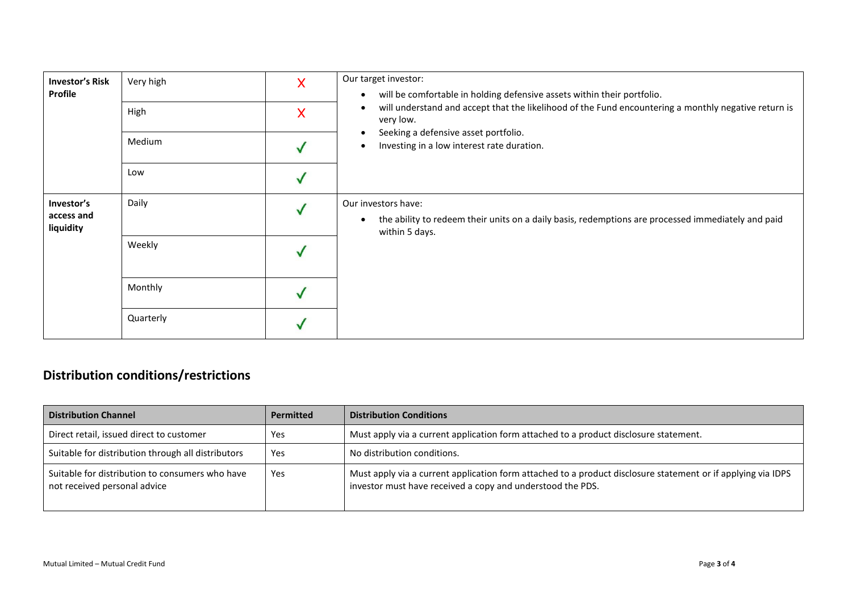| <b>Investor's Risk</b><br>Profile     | Very high<br>High | Χ<br>X | Our target investor:<br>will be comfortable in holding defensive assets within their portfolio.<br>$\bullet$<br>will understand and accept that the likelihood of the Fund encountering a monthly negative return is<br>$\bullet$<br>very low. |
|---------------------------------------|-------------------|--------|------------------------------------------------------------------------------------------------------------------------------------------------------------------------------------------------------------------------------------------------|
|                                       | Medium            |        | Seeking a defensive asset portfolio.<br>$\bullet$<br>Investing in a low interest rate duration.<br>$\bullet$                                                                                                                                   |
|                                       | Low               |        |                                                                                                                                                                                                                                                |
| Investor's<br>access and<br>liquidity | Daily             |        | Our investors have:<br>the ability to redeem their units on a daily basis, redemptions are processed immediately and paid<br>$\bullet$<br>within 5 days.                                                                                       |
|                                       | Weekly            |        |                                                                                                                                                                                                                                                |
|                                       | Monthly           |        |                                                                                                                                                                                                                                                |
|                                       | Quarterly         |        |                                                                                                                                                                                                                                                |

# **Distribution conditions/restrictions**

| <b>Distribution Channel</b>                                                     | <b>Permitted</b> | <b>Distribution Conditions</b>                                                                                                                                             |
|---------------------------------------------------------------------------------|------------------|----------------------------------------------------------------------------------------------------------------------------------------------------------------------------|
| Direct retail, issued direct to customer                                        | Yes              | Must apply via a current application form attached to a product disclosure statement.                                                                                      |
| Suitable for distribution through all distributors                              | Yes              | No distribution conditions.                                                                                                                                                |
| Suitable for distribution to consumers who have<br>not received personal advice | Yes              | Must apply via a current application form attached to a product disclosure statement or if applying via IDPS<br>investor must have received a copy and understood the PDS. |